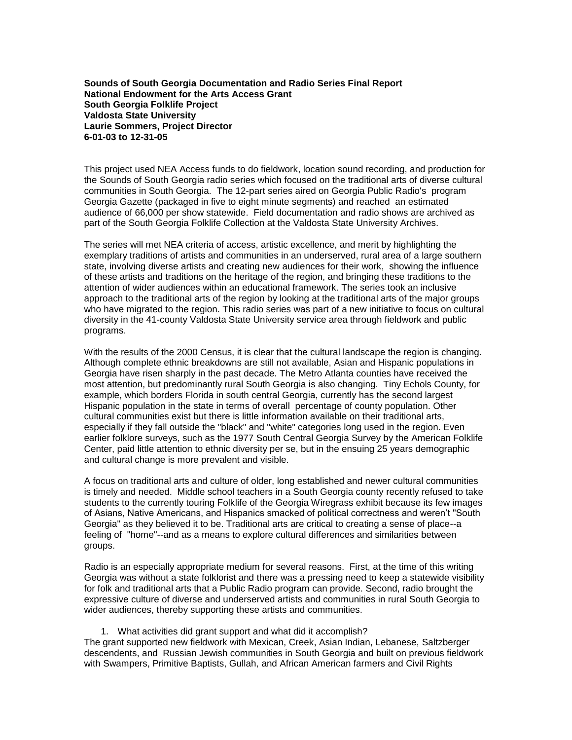**Sounds of South Georgia Documentation and Radio Series Final Report National Endowment for the Arts Access Grant South Georgia Folklife Project Valdosta State University Laurie Sommers, Project Director 6-01-03 to 12-31-05**

This project used NEA Access funds to do fieldwork, location sound recording, and production for the Sounds of South Georgia radio series which focused on the traditional arts of diverse cultural communities in South Georgia. The 12-part series aired on Georgia Public Radio's program Georgia Gazette (packaged in five to eight minute segments) and reached an estimated audience of 66,000 per show statewide. Field documentation and radio shows are archived as part of the South Georgia Folklife Collection at the Valdosta State University Archives.

The series will met NEA criteria of access, artistic excellence, and merit by highlighting the exemplary traditions of artists and communities in an underserved, rural area of a large southern state, involving diverse artists and creating new audiences for their work, showing the influence of these artists and traditions on the heritage of the region, and bringing these traditions to the attention of wider audiences within an educational framework. The series took an inclusive approach to the traditional arts of the region by looking at the traditional arts of the major groups who have migrated to the region. This radio series was part of a new initiative to focus on cultural diversity in the 41-county Valdosta State University service area through fieldwork and public programs.

With the results of the 2000 Census, it is clear that the cultural landscape the region is changing. Although complete ethnic breakdowns are still not available, Asian and Hispanic populations in Georgia have risen sharply in the past decade. The Metro Atlanta counties have received the most attention, but predominantly rural South Georgia is also changing. Tiny Echols County, for example, which borders Florida in south central Georgia, currently has the second largest Hispanic population in the state in terms of overall percentage of county population. Other cultural communities exist but there is little information available on their traditional arts, especially if they fall outside the "black" and "white" categories long used in the region. Even earlier folklore surveys, such as the 1977 South Central Georgia Survey by the American Folklife Center, paid little attention to ethnic diversity per se, but in the ensuing 25 years demographic and cultural change is more prevalent and visible.

A focus on traditional arts and culture of older, long established and newer cultural communities is timely and needed. Middle school teachers in a South Georgia county recently refused to take students to the currently touring Folklife of the Georgia Wiregrass exhibit because its few images of Asians, Native Americans, and Hispanics smacked of political correctness and weren't "South Georgia" as they believed it to be. Traditional arts are critical to creating a sense of place--a feeling of "home"--and as a means to explore cultural differences and similarities between groups.

Radio is an especially appropriate medium for several reasons. First, at the time of this writing Georgia was without a state folklorist and there was a pressing need to keep a statewide visibility for folk and traditional arts that a Public Radio program can provide. Second, radio brought the expressive culture of diverse and underserved artists and communities in rural South Georgia to wider audiences, thereby supporting these artists and communities.

1. What activities did grant support and what did it accomplish?

The grant supported new fieldwork with Mexican, Creek, Asian Indian, Lebanese, Saltzberger descendents, and Russian Jewish communities in South Georgia and built on previous fieldwork with Swampers, Primitive Baptists, Gullah, and African American farmers and Civil Rights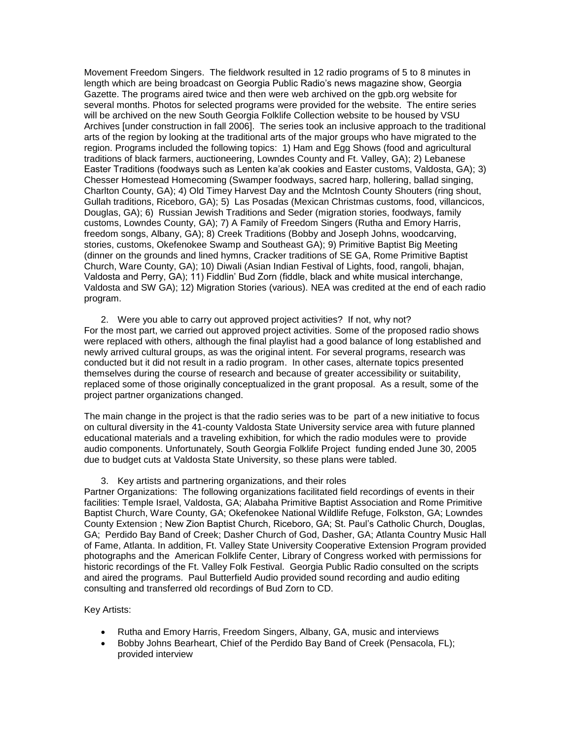Movement Freedom Singers. The fieldwork resulted in 12 radio programs of 5 to 8 minutes in length which are being broadcast on Georgia Public Radio's news magazine show, Georgia Gazette. The programs aired twice and then were web archived on the gpb.org website for several months. Photos for selected programs were provided for the website. The entire series will be archived on the new South Georgia Folklife Collection website to be housed by VSU Archives [under construction in fall 2006]. The series took an inclusive approach to the traditional arts of the region by looking at the traditional arts of the major groups who have migrated to the region. Programs included the following topics: 1) Ham and Egg Shows (food and agricultural traditions of black farmers, auctioneering, Lowndes County and Ft. Valley, GA); 2) Lebanese Easter Traditions (foodways such as Lenten ka'ak cookies and Easter customs, Valdosta, GA); 3) Chesser Homestead Homecoming (Swamper foodways, sacred harp, hollering, ballad singing, Charlton County, GA); 4) Old Timey Harvest Day and the McIntosh County Shouters (ring shout, Gullah traditions, Riceboro, GA); 5) Las Posadas (Mexican Christmas customs, food, villancicos, Douglas, GA); 6) Russian Jewish Traditions and Seder (migration stories, foodways, family customs, Lowndes County, GA); 7) A Family of Freedom Singers (Rutha and Emory Harris, freedom songs, Albany, GA); 8) Creek Traditions (Bobby and Joseph Johns, woodcarving, stories, customs, Okefenokee Swamp and Southeast GA); 9) Primitive Baptist Big Meeting (dinner on the grounds and lined hymns, Cracker traditions of SE GA, Rome Primitive Baptist Church, Ware County, GA); 10) Diwali (Asian Indian Festival of Lights, food, rangoli, bhajan, Valdosta and Perry, GA); 11) Fiddlin' Bud Zorn (fiddle, black and white musical interchange, Valdosta and SW GA); 12) Migration Stories (various). NEA was credited at the end of each radio program.

2. Were you able to carry out approved project activities? If not, why not? For the most part, we carried out approved project activities. Some of the proposed radio shows were replaced with others, although the final playlist had a good balance of long established and newly arrived cultural groups, as was the original intent. For several programs, research was conducted but it did not result in a radio program. In other cases, alternate topics presented themselves during the course of research and because of greater accessibility or suitability, replaced some of those originally conceptualized in the grant proposal. As a result, some of the project partner organizations changed.

The main change in the project is that the radio series was to be part of a new initiative to focus on cultural diversity in the 41-county Valdosta State University service area with future planned educational materials and a traveling exhibition, for which the radio modules were to provide audio components. Unfortunately, South Georgia Folklife Project funding ended June 30, 2005 due to budget cuts at Valdosta State University, so these plans were tabled.

3. Key artists and partnering organizations, and their roles

Partner Organizations: The following organizations facilitated field recordings of events in their facilities: Temple Israel, Valdosta, GA; Alabaha Primitive Baptist Association and Rome Primitive Baptist Church, Ware County, GA; Okefenokee National Wildlife Refuge, Folkston, GA; Lowndes County Extension ; New Zion Baptist Church, Riceboro, GA; St. Paul's Catholic Church, Douglas, GA; Perdido Bay Band of Creek; Dasher Church of God, Dasher, GA; Atlanta Country Music Hall of Fame, Atlanta. In addition, Ft. Valley State University Cooperative Extension Program provided photographs and the American Folklife Center, Library of Congress worked with permissions for historic recordings of the Ft. Valley Folk Festival. Georgia Public Radio consulted on the scripts and aired the programs. Paul Butterfield Audio provided sound recording and audio editing consulting and transferred old recordings of Bud Zorn to CD.

## Key Artists:

- Rutha and Emory Harris, Freedom Singers, Albany, GA, music and interviews
- Bobby Johns Bearheart, Chief of the Perdido Bay Band of Creek (Pensacola, FL); provided interview